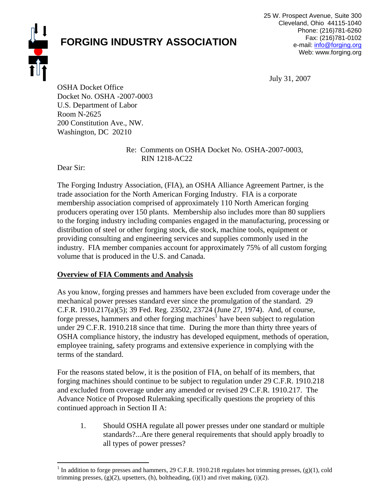

# **FORGING INDUSTRY ASSOCIATION**

July 31, 2007

OSHA Docket Office Docket No. OSHA -2007-0003 U.S. Department of Labor Room N-2625 200 Constitution Ave., NW. Washington, DC 20210

> Re: Comments on OSHA Docket No. OSHA-2007-0003, RIN 1218-AC22

Dear Sir:

The Forging Industry Association, (FIA), an OSHA Alliance Agreement Partner, is the trade association for the North American Forging Industry. FIA is a corporate membership association comprised of approximately 110 North American forging producers operating over 150 plants. Membership also includes more than 80 suppliers to the forging industry including companies engaged in the manufacturing, processing or distribution of steel or other forging stock, die stock, machine tools, equipment or providing consulting and engineering services and supplies commonly used in the industry. FIA member companies account for approximately 75% of all custom forging volume that is produced in the U.S. and Canada.

# **Overview of FIA Comments and Analysis**

As you know, forging presses and hammers have been excluded from coverage under the mechanical power presses standard ever since the promulgation of the standard. 29 C.F.R. 1910.217(a)(5); 39 Fed. Reg. 23502, 23724 (June 27, 1974). And, of course, forge presses, hammers and other forging machines<sup>1</sup> have been subject to regulation under 29 C.F.R. 1910.218 since that time. During the more than thirty three years of OSHA compliance history, the industry has developed equipment, methods of operation, employee training, safety programs and extensive experience in complying with the terms of the standard.

For the reasons stated below, it is the position of FIA, on behalf of its members, that forging machines should continue to be subject to regulation under 29 C.F.R. 1910.218 and excluded from coverage under any amended or revised 29 C.F.R. 1910.217. The Advance Notice of Proposed Rulemaking specifically questions the propriety of this continued approach in Section II A:

1. Should OSHA regulate all power presses under one standard or multiple standards?...Are there general requirements that should apply broadly to all types of power presses?

 $\overline{a}$ <sup>1</sup> In addition to forge presses and hammers, 29 C.F.R. 1910.218 regulates hot trimming presses, (g)(1), cold trimming presses,  $(g)(2)$ , upsetters,  $(h)$ , boltheading,  $(i)(1)$  and rivet making,  $(i)(2)$ .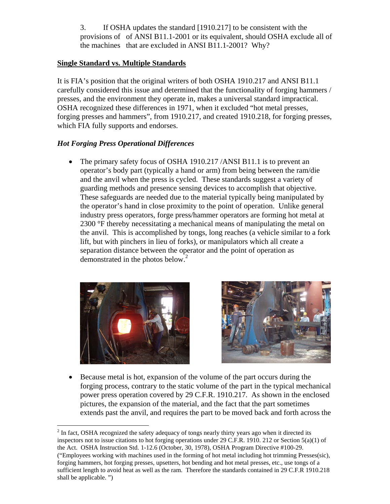3. If OSHA updates the standard [1910.217] to be consistent with the provisions of of ANSI B11.1-2001 or its equivalent, should OSHA exclude all of the machines that are excluded in ANSI B11.1-2001? Why?

#### **Single Standard vs. Multiple Standards**

It is FIA's position that the original writers of both OSHA 1910.217 and ANSI B11.1 carefully considered this issue and determined that the functionality of forging hammers / presses, and the environment they operate in, makes a universal standard impractical. OSHA recognized these differences in 1971, when it excluded "hot metal presses, forging presses and hammers", from 1910.217, and created 1910.218, for forging presses, which FIA fully supports and endorses.

## *Hot Forging Press Operational Differences*

• The primary safety focus of OSHA 1910.217 / ANSI B11.1 is to prevent an operator's body part (typically a hand or arm) from being between the ram/die and the anvil when the press is cycled. These standards suggest a variety of guarding methods and presence sensing devices to accomplish that objective. These safeguards are needed due to the material typically being manipulated by the operator's hand in close proximity to the point of operation. Unlike general industry press operators, forge press/hammer operators are forming hot metal at 2300 °F thereby necessitating a mechanical means of manipulating the metal on the anvil. This is accomplished by tongs, long reaches (a vehicle similar to a fork lift, but with pinchers in lieu of forks), or manipulators which all create a separation distance between the operator and the point of operation as demonstrated in the photos below.<sup>2</sup>



1



• Because metal is hot, expansion of the volume of the part occurs during the forging process, contrary to the static volume of the part in the typical mechanical power press operation covered by 29 C.F.R. 1910.217. As shown in the enclosed pictures, the expansion of the material, and the fact that the part sometimes extends past the anvil, and requires the part to be moved back and forth across the

 $2^{2}$  In fact, OSHA recognized the safety adequacy of tongs nearly thirty years ago when it directed its inspectors not to issue citations to hot forging operations under 29 C.F.R. 1910. 212 or Section 5(a)(1) of the Act. OSHA Instruction Std. 1-12.6 (October, 30, 1978), OSHA Program Directive #100-29. ("Employees working with machines used in the forming of hot metal including hot trimming Presses(sic), forging hammers, hot forging presses, upsetters, hot bending and hot metal presses, etc., use tongs of a sufficient length to avoid heat as well as the ram. Therefore the standards contained in 29 C.F.R 1910.218 shall be applicable. ")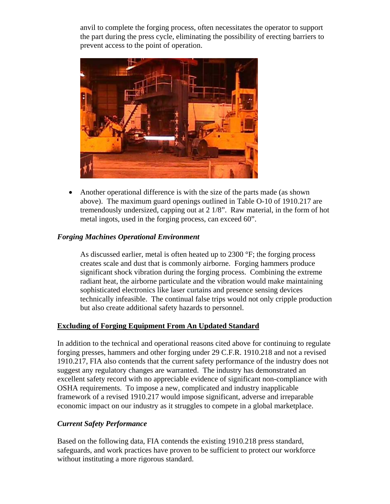anvil to complete the forging process, often necessitates the operator to support the part during the press cycle, eliminating the possibility of erecting barriers to prevent access to the point of operation.



• Another operational difference is with the size of the parts made (as shown above). The maximum guard openings outlined in Table O-10 of 1910.217 are tremendously undersized, capping out at 2 1/8". Raw material, in the form of hot metal ingots, used in the forging process, can exceed 60".

## *Forging Machines Operational Environment*

As discussed earlier, metal is often heated up to 2300 °F; the forging process creates scale and dust that is commonly airborne. Forging hammers produce significant shock vibration during the forging process. Combining the extreme radiant heat, the airborne particulate and the vibration would make maintaining sophisticated electronics like laser curtains and presence sensing devices technically infeasible. The continual false trips would not only cripple production but also create additional safety hazards to personnel.

#### **Excluding of Forging Equipment From An Updated Standard**

In addition to the technical and operational reasons cited above for continuing to regulate forging presses, hammers and other forging under 29 C.F.R. 1910.218 and not a revised 1910.217, FIA also contends that the current safety performance of the industry does not suggest any regulatory changes are warranted. The industry has demonstrated an excellent safety record with no appreciable evidence of significant non-compliance with OSHA requirements. To impose a new, complicated and industry inapplicable framework of a revised 1910.217 would impose significant, adverse and irreparable economic impact on our industry as it struggles to compete in a global marketplace.

#### *Current Safety Performance*

Based on the following data, FIA contends the existing 1910.218 press standard, safeguards, and work practices have proven to be sufficient to protect our workforce without instituting a more rigorous standard.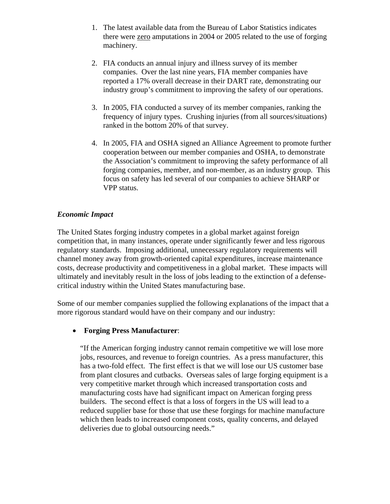- 1. The latest available data from the Bureau of Labor Statistics indicates there were zero amputations in 2004 or 2005 related to the use of forging machinery.
- 2. FIA conducts an annual injury and illness survey of its member companies. Over the last nine years, FIA member companies have reported a 17% overall decrease in their DART rate, demonstrating our industry group's commitment to improving the safety of our operations.
- 3. In 2005, FIA conducted a survey of its member companies, ranking the frequency of injury types. Crushing injuries (from all sources/situations) ranked in the bottom 20% of that survey.
- 4. In 2005, FIA and OSHA signed an Alliance Agreement to promote further cooperation between our member companies and OSHA, to demonstrate the Association's commitment to improving the safety performance of all forging companies, member, and non-member, as an industry group. This focus on safety has led several of our companies to achieve SHARP or VPP status.

## *Economic Impact*

The United States forging industry competes in a global market against foreign competition that, in many instances, operate under significantly fewer and less rigorous regulatory standards. Imposing additional, unnecessary regulatory requirements will channel money away from growth-oriented capital expenditures, increase maintenance costs, decrease productivity and competitiveness in a global market. These impacts will ultimately and inevitably result in the loss of jobs leading to the extinction of a defensecritical industry within the United States manufacturing base.

Some of our member companies supplied the following explanations of the impact that a more rigorous standard would have on their company and our industry:

## • **Forging Press Manufacturer**:

"If the American forging industry cannot remain competitive we will lose more jobs, resources, and revenue to foreign countries. As a press manufacturer, this has a two-fold effect. The first effect is that we will lose our US customer base from plant closures and cutbacks. Overseas sales of large forging equipment is a very competitive market through which increased transportation costs and manufacturing costs have had significant impact on American forging press builders. The second effect is that a loss of forgers in the US will lead to a reduced supplier base for those that use these forgings for machine manufacture which then leads to increased component costs, quality concerns, and delayed deliveries due to global outsourcing needs."